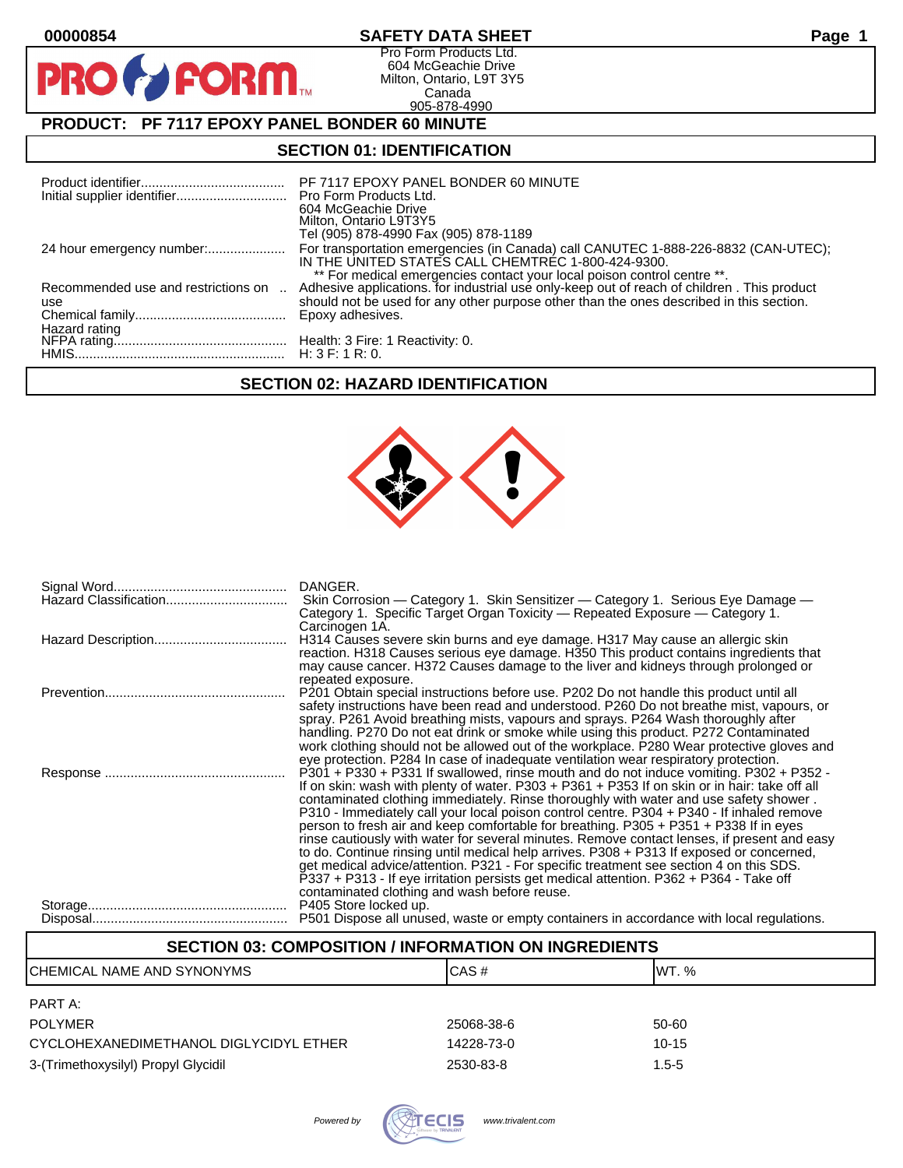$\bullet$ 

PR

# **00000854 SAFETY DATA SHEET Page 1**

Pro Form Products Ltd. 604 McGeachie Drive Milton, Ontario, L9T 3Y5 Canada 905-878-4990

# **PRODUCT: PF 7117 EPOXY PANEL BONDER 60 MINUTE**

**FORM** 

## **SECTION 01: IDENTIFICATION**

| Initial supplier identifier Pro Form Products Ltd. | PF 7117 EPOXY PANEL BONDER 60 MINUTE<br>604 McGeachie Drive<br>Milton, Ontario L9T3Y5<br>Tel (905) 878-4990 Fax (905) 878-1189                                                                                                                                                       |
|----------------------------------------------------|--------------------------------------------------------------------------------------------------------------------------------------------------------------------------------------------------------------------------------------------------------------------------------------|
|                                                    | For transportation emergencies (in Canada) call CANUTEC 1-888-226-8832 (CAN-UTEC);<br>IN THE UNITED STATES CALL CHEMTREC 1-800-424-9300.                                                                                                                                             |
| Recommended use and restrictions on<br>use         | ** For medical emergencies contact your local poison control centre **.<br>Adhesive applications. for industrial use only-keep out of reach of children. This product<br>should not be used for any other purpose other than the ones described in this section.<br>Epoxy adhesives. |
|                                                    |                                                                                                                                                                                                                                                                                      |

# **SECTION 02: HAZARD IDENTIFICATION**



| DANGER.<br>Skin Corrosion — Category 1. Skin Sensitizer — Category 1. Serious Eye Damage —<br>Category 1. Specific Target Organ Toxicity — Repeated Exposure — Category 1.                                                                                                                                                                                                                                                                                                                                                                                                                                                                                                                                                                                                                                                                                                                                                                                                                                            |
|-----------------------------------------------------------------------------------------------------------------------------------------------------------------------------------------------------------------------------------------------------------------------------------------------------------------------------------------------------------------------------------------------------------------------------------------------------------------------------------------------------------------------------------------------------------------------------------------------------------------------------------------------------------------------------------------------------------------------------------------------------------------------------------------------------------------------------------------------------------------------------------------------------------------------------------------------------------------------------------------------------------------------|
| Carcinogen 1A.<br>H314 Causes severe skin burns and eye damage. H317 May cause an allergic skin<br>reaction. H318 Causes serious eye damage. H350 This product contains ingredients that<br>may cause cancer. H372 Causes damage to the liver and kidneys through prolonged or                                                                                                                                                                                                                                                                                                                                                                                                                                                                                                                                                                                                                                                                                                                                        |
| repeated exposure.<br>P201 Obtain special instructions before use. P202 Do not handle this product until all<br>safety instructions have been read and understood. P260 Do not breathe mist, vapours, or<br>spray. P261 Avoid breathing mists, vapours and sprays. P264 Wash thoroughly after<br>handling. P270 Do not eat drink or smoke while using this product. P272 Contaminated<br>work clothing should not be allowed out of the workplace. P280 Wear protective gloves and                                                                                                                                                                                                                                                                                                                                                                                                                                                                                                                                    |
| eye protection. P284 In case of inadequate ventilation wear respiratory protection.<br>P301 + P330 + P331 If swallowed, rinse mouth and do not induce vomiting. P302 + P352 -<br>If on skin: wash with plenty of water. P303 + P361 + P353 If on skin or in hair: take off all<br>contaminated clothing immediately. Rinse thoroughly with water and use safety shower.<br>P310 - Immediately call your local poison control centre. P304 + P340 - If inhaled remove<br>person to fresh air and keep comfortable for breathing. P305 + P351 + P338 If in eyes<br>rinse cautiously with water for several minutes. Remove contact lenses, if present and easy<br>to do. Continue rinsing until medical help arrives. P308 + P313 If exposed or concerned,<br>get medical advice/attention. P321 - For specific treatment see section 4 on this SDS.<br>P337 + P313 - If eye irritation persists get medical attention. P362 + P364 - Take off<br>contaminated clothing and wash before reuse.<br>P405 Store locked up. |
| P501 Dispose all unused, waste or empty containers in accordance with local regulations.                                                                                                                                                                                                                                                                                                                                                                                                                                                                                                                                                                                                                                                                                                                                                                                                                                                                                                                              |

## **SECTION 03: COMPOSITION / INFORMATION ON INGREDIENTS**

| CHEMICAL NAME AND SYNONYMS             | CAS#       | IWT. %    |
|----------------------------------------|------------|-----------|
| PART A:                                |            |           |
| <b>POLYMER</b>                         | 25068-38-6 | 50-60     |
| CYCLOHEXANEDIMETHANOL DIGLYCIDYL ETHER | 14228-73-0 | $10 - 15$ |
| 3-(Trimethoxysilyl) Propyl Glycidil    | 2530-83-8  | $1.5 - 5$ |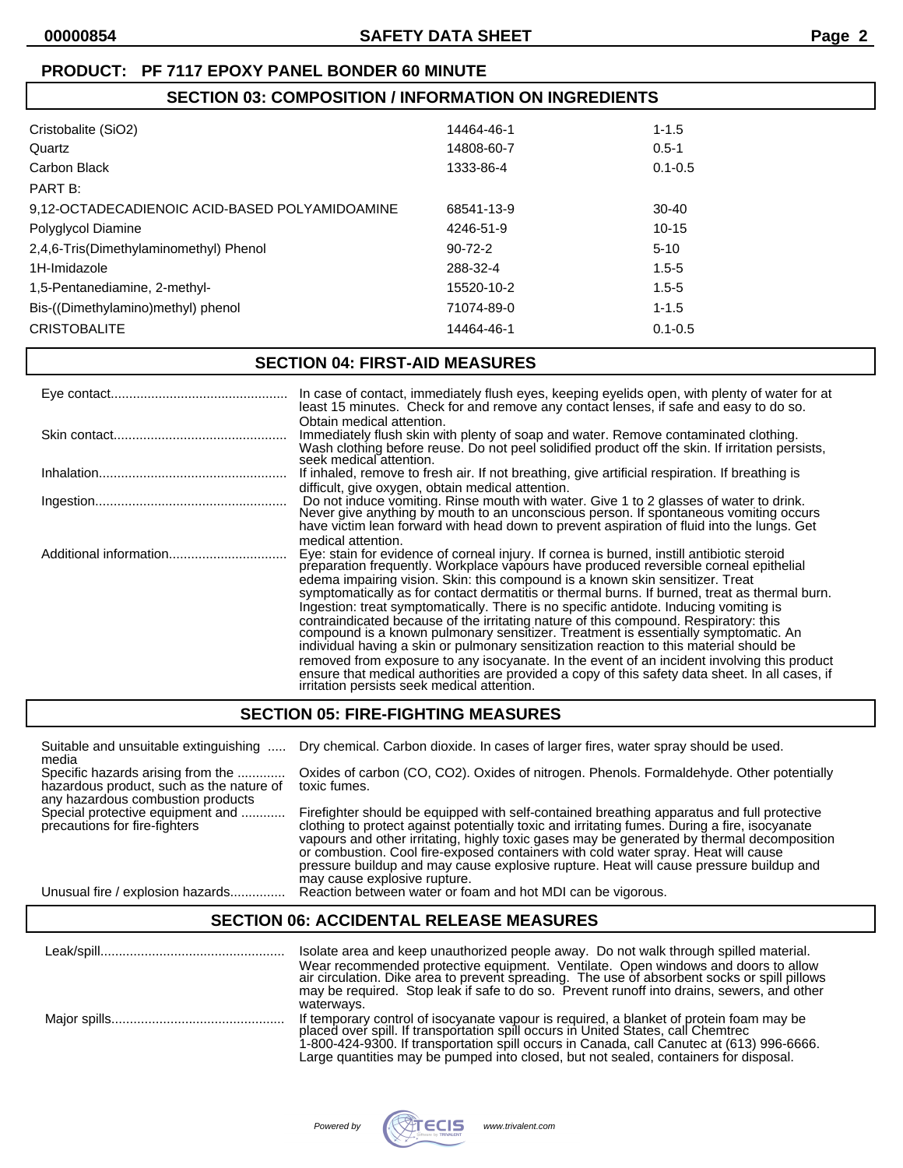# **SECTION 03: COMPOSITION / INFORMATION ON INGREDIENTS**

| Cristobalite (SiO2)                            | 14464-46-1    | $1 - 1.5$   |
|------------------------------------------------|---------------|-------------|
| Quartz                                         | 14808-60-7    | $0.5 - 1$   |
| Carbon Black                                   | 1333-86-4     | $0.1 - 0.5$ |
| PART B:                                        |               |             |
| 9,12-OCTADECADIENOIC ACID-BASED POLYAMIDOAMINE | 68541-13-9    | $30-40$     |
| Polyglycol Diamine                             | 4246-51-9     | $10-15$     |
| 2,4,6-Tris(Dimethylaminomethyl) Phenol         | $90 - 72 - 2$ | $5-10$      |
| 1H-Imidazole                                   | 288-32-4      | $1.5 - 5$   |
| 1,5-Pentanediamine, 2-methyl-                  | 15520-10-2    | $1.5 - 5$   |
| Bis-((Dimethylamino)methyl) phenol             | 71074-89-0    | $1 - 1.5$   |
| <b>CRISTOBALITE</b>                            | 14464-46-1    | $0.1 - 0.5$ |
|                                                |               |             |

## **SECTION 04: FIRST-AID MEASURES**

|                        | In case of contact, immediately flush eyes, keeping eyelids open, with plenty of water for at<br>least 15 minutes. Check for and remove any contact lenses, if safe and easy to do so.                                                                                                                                                                                                                                                                                                                                                                                                                                                                                                                                                                                                                                                                                                                                                                                                                      |
|------------------------|-------------------------------------------------------------------------------------------------------------------------------------------------------------------------------------------------------------------------------------------------------------------------------------------------------------------------------------------------------------------------------------------------------------------------------------------------------------------------------------------------------------------------------------------------------------------------------------------------------------------------------------------------------------------------------------------------------------------------------------------------------------------------------------------------------------------------------------------------------------------------------------------------------------------------------------------------------------------------------------------------------------|
|                        | Obtain medical attention.<br>Immediately flush skin with plenty of soap and water. Remove contaminated clothing.<br>Wash clothing before reuse. Do not peel solidified product off the skin. If irritation persists,<br>seek medical attention.                                                                                                                                                                                                                                                                                                                                                                                                                                                                                                                                                                                                                                                                                                                                                             |
|                        | If inhaled, remove to fresh air. If not breathing, give artificial respiration. If breathing is                                                                                                                                                                                                                                                                                                                                                                                                                                                                                                                                                                                                                                                                                                                                                                                                                                                                                                             |
|                        | difficult, give oxygen, obtain medical attention.<br>Do not induce vomiting. Rinse mouth with water. Give 1 to 2 glasses of water to drink.<br>Never give anything by mouth to an unconscious person. If spontaneous vomiting occurs<br>have victim lean forward with head down to prevent aspiration of fluid into the lungs. Get                                                                                                                                                                                                                                                                                                                                                                                                                                                                                                                                                                                                                                                                          |
| Additional information | medical attention.<br>Eye: stain for evidence of corneal injury. If cornea is burned, instill antibiotic steroid<br>preparation frequently. Workplace vapours have produced reversible corneal epithelial<br>edema impairing vision. Skin: this compound is a known skin sensitizer. Treat<br>symptomatically as for contact dermatitis or thermal burns. If burned, treat as thermal burn.<br>Ingestion: treat symptomatically. There is no specific antidote. Inducing vomiting is<br>contraindicated because of the irritating nature of this compound. Respiratory: this compound is a known pulmonary sensitizer. Treatment is essentially symptomatic. An<br>individual having a skin or pulmonary sensitization reaction to this material should be<br>removed from exposure to any isocyanate. In the event of an incident involving this product<br>ensure that medical authorities are provided a copy of this safety data sheet. In all cases, if<br>irritation persists seek medical attention. |

# **SECTION 05: FIRE-FIGHTING MEASURES**

| Suitable and unsuitable extinguishing    | Dry chemical. Carbon dioxide. In cases of larger fires, water spray should be used.           |
|------------------------------------------|-----------------------------------------------------------------------------------------------|
| media                                    |                                                                                               |
| Specific hazards arising from the        | Oxides of carbon (CO, CO2). Oxides of nitrogen. Phenols. Formaldehyde. Other potentially      |
| hazardous product, such as the nature of | toxic fumes.                                                                                  |
| any hazardous combustion products        |                                                                                               |
| Special protective equipment and         | Firefighter should be equipped with self-contained breathing apparatus and full protective    |
| precautions for fire-fighters            | clothing to protect against potentially toxic and irritating fumes. During a fire, isocyanate |
|                                          | vapours and other irritating, highly toxic gases may be generated by thermal decomposition    |
|                                          | or combustion. Cool fire-exposed containers with cold water spray. Heat will cause            |
|                                          | pressure buildup and may cause explosive rupture. Heat will cause pressure buildup and        |
|                                          | may cause explosive rupture.                                                                  |

Unusual fire / explosion hazards............... Reaction between water or foam and hot MDI can be vigorous.

## **SECTION 06: ACCIDENTAL RELEASE MEASURES**

| Isolate area and keep unauthorized people away. Do not walk through spilled material.<br>Wear recommended protective equipment. Ventilate. Open windows and doors to allow<br>air circulation. Dike area to prevent spreading. The use of absorbent socks or spill pillows<br>may be required. Stop leak if safe to do so. Prevent runoff into drains, sewers, and other<br>waterways. |
|----------------------------------------------------------------------------------------------------------------------------------------------------------------------------------------------------------------------------------------------------------------------------------------------------------------------------------------------------------------------------------------|
| If temporary control of isocyanate vapour is required, a blanket of protein foam may be placed over spill. If transportation spill occurs in United States, call Chemtrec<br>1-800-424-9300. If transportation spill occurs in Canada, call Canutec at (613) 996-6666.<br>Large quantities may be pumped into closed, but not sealed, containers for disposal.                         |

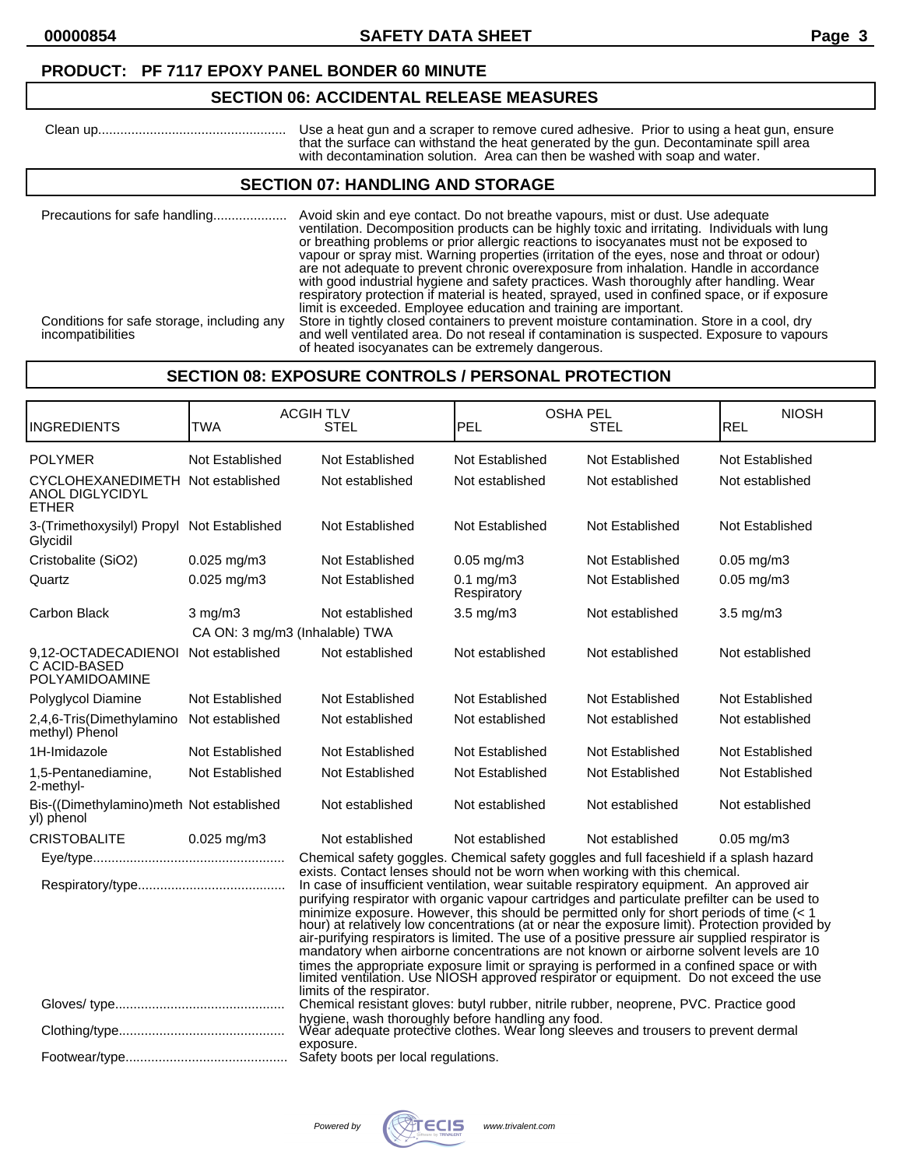# **SECTION 06: ACCIDENTAL RELEASE MEASURES**

 Clean up................................................... Use a heat gun and a scraper to remove cured adhesive. Prior to using a heat gun, ensure that the surface can withstand the heat generated by the gun. Decontaminate spill area with decontamination solution. Area can then be washed with soap and water.

## **SECTION 07: HANDLING AND STORAGE**

| Precautions for safe handling<br>Conditions for safe storage, including any | Avoid skin and eye contact. Do not breathe vapours, mist or dust. Use adequate<br>ventilation. Decomposition products can be highly toxic and irritating. Individuals with lung<br>or breathing problems or prior allergic reactions to isocyanates must not be exposed to<br>vapour or spray mist. Warning properties (irritation of the eyes, nose and throat or odour)<br>are not adequate to prevent chronic overexposure from inhalation. Handle in accordance<br>with good industrial hygiene and safety practices. Wash thoroughly after handling. Wear<br>respiratory protection if material is heated, sprayed, used in confined space, or if exposure<br>limit is exceeded. Employee education and training are important.<br>Store in tightly closed containers to prevent moisture contamination. Store in a cool, dry |
|-----------------------------------------------------------------------------|------------------------------------------------------------------------------------------------------------------------------------------------------------------------------------------------------------------------------------------------------------------------------------------------------------------------------------------------------------------------------------------------------------------------------------------------------------------------------------------------------------------------------------------------------------------------------------------------------------------------------------------------------------------------------------------------------------------------------------------------------------------------------------------------------------------------------------|
| incompatibilities                                                           | and well ventilated area. Do not reseal if contamination is suspected. Exposure to vapours<br>of heated isocyanates can be extremely dangerous.                                                                                                                                                                                                                                                                                                                                                                                                                                                                                                                                                                                                                                                                                    |

# **SECTION 08: EXPOSURE CONTROLS / PERSONAL PROTECTION**

| <b>INGREDIENTS</b>                                                          | <b>TWA</b>                     | <b>ACGIHTLV</b><br><b>STEL</b>                                                                                                                                                                                                                                                                                                                                                                                                                                                                                                                                                                                                                                  | PEL                           | <b>OSHA PEL</b><br>STEL | <b>NIOSH</b><br>REL |
|-----------------------------------------------------------------------------|--------------------------------|-----------------------------------------------------------------------------------------------------------------------------------------------------------------------------------------------------------------------------------------------------------------------------------------------------------------------------------------------------------------------------------------------------------------------------------------------------------------------------------------------------------------------------------------------------------------------------------------------------------------------------------------------------------------|-------------------------------|-------------------------|---------------------|
| <b>POLYMER</b>                                                              | Not Established                | Not Established                                                                                                                                                                                                                                                                                                                                                                                                                                                                                                                                                                                                                                                 | Not Established               | Not Established         | Not Established     |
| CYCLOHEXANEDIMETH Not established<br><b>ANOL DIGLYCIDYL</b><br><b>ETHER</b> |                                | Not established                                                                                                                                                                                                                                                                                                                                                                                                                                                                                                                                                                                                                                                 | Not established               | Not established         | Not established     |
| 3-(Trimethoxysilyl) Propyl<br>Glycidil                                      | Not Established                | Not Established                                                                                                                                                                                                                                                                                                                                                                                                                                                                                                                                                                                                                                                 | Not Established               | Not Established         | Not Established     |
| Cristobalite (SiO2)                                                         | $0.025$ mg/m3                  | Not Established                                                                                                                                                                                                                                                                                                                                                                                                                                                                                                                                                                                                                                                 | $0.05$ mg/m $3$               | Not Established         | $0.05$ mg/m $3$     |
| Quartz                                                                      | $0.025$ mg/m3                  | Not Established                                                                                                                                                                                                                                                                                                                                                                                                                                                                                                                                                                                                                                                 | $0.1$ mg/m $3$<br>Respiratory | Not Established         | $0.05$ mg/m $3$     |
| Carbon Black                                                                | $3 \text{ mg/m}$               | Not established                                                                                                                                                                                                                                                                                                                                                                                                                                                                                                                                                                                                                                                 | $3.5 \text{ mg/m}$            | Not established         | $3.5$ mg/m $3$      |
|                                                                             | CA ON: 3 mg/m3 (Inhalable) TWA |                                                                                                                                                                                                                                                                                                                                                                                                                                                                                                                                                                                                                                                                 |                               |                         |                     |
| 9.12-OCTADECADIENOI<br>C ACID-BASED<br><b>POLYAMIDOAMINE</b>                | Not established                | Not established                                                                                                                                                                                                                                                                                                                                                                                                                                                                                                                                                                                                                                                 | Not established               | Not established         | Not established     |
| Polyglycol Diamine                                                          | Not Established                | Not Established                                                                                                                                                                                                                                                                                                                                                                                                                                                                                                                                                                                                                                                 | Not Established               | Not Established         | Not Established     |
| 2,4,6-Tris(Dimethylamino<br>methyl) Phenol                                  | Not established                | Not established                                                                                                                                                                                                                                                                                                                                                                                                                                                                                                                                                                                                                                                 | Not established               | Not established         | Not established     |
| 1H-Imidazole                                                                | Not Established                | Not Established                                                                                                                                                                                                                                                                                                                                                                                                                                                                                                                                                                                                                                                 | Not Established               | Not Established         | Not Established     |
| 1,5-Pentanediamine,<br>2-methyl-                                            | Not Established                | Not Established                                                                                                                                                                                                                                                                                                                                                                                                                                                                                                                                                                                                                                                 | Not Established               | Not Established         | Not Established     |
| Bis-((Dimethylamino)meth Not established<br>yl) phenol                      |                                | Not established                                                                                                                                                                                                                                                                                                                                                                                                                                                                                                                                                                                                                                                 | Not established               | Not established         | Not established     |
| <b>CRISTOBALITE</b>                                                         | $0.025$ mg/m3                  | Not established                                                                                                                                                                                                                                                                                                                                                                                                                                                                                                                                                                                                                                                 | Not established               | Not established         | $0.05$ mg/m $3$     |
|                                                                             |                                | Chemical safety goggles. Chemical safety goggles and full faceshield if a splash hazard                                                                                                                                                                                                                                                                                                                                                                                                                                                                                                                                                                         |                               |                         |                     |
|                                                                             |                                | exists. Contact lenses should not be worn when working with this chemical.<br>In case of insufficient ventilation, wear suitable respiratory equipment. An approved air<br>purifying respirator with organic vapour cartridges and particulate prefilter can be used to<br>minimize exposure. However, this should be permitted only for short periods of time (< 1 hour) at relatively low concentrations (at or near the exposure limit). Protection provided by<br>air-purifying respirators is limited. The use of a positive pressure air supplied respirator is<br>mandatory when airborne concentrations are not known or airborne solvent levels are 10 |                               |                         |                     |
|                                                                             |                                | times the appropriate exposure limit or spraying is performed in a confined space or with<br>limited ventilation. Use NIOSH approved respirator or equipment. Do not exceed the use<br>limits of the respirator.                                                                                                                                                                                                                                                                                                                                                                                                                                                |                               |                         |                     |
|                                                                             |                                | Chemical resistant gloves: butyl rubber, nitrile rubber, neoprene, PVC. Practice good                                                                                                                                                                                                                                                                                                                                                                                                                                                                                                                                                                           |                               |                         |                     |
|                                                                             |                                | hygiene, wash thoroughly before handling any food.<br>Wear adequate protective clothes. Wear long sleeves and trousers to prevent dermal<br>exposure.                                                                                                                                                                                                                                                                                                                                                                                                                                                                                                           |                               |                         |                     |
|                                                                             |                                |                                                                                                                                                                                                                                                                                                                                                                                                                                                                                                                                                                                                                                                                 |                               |                         |                     |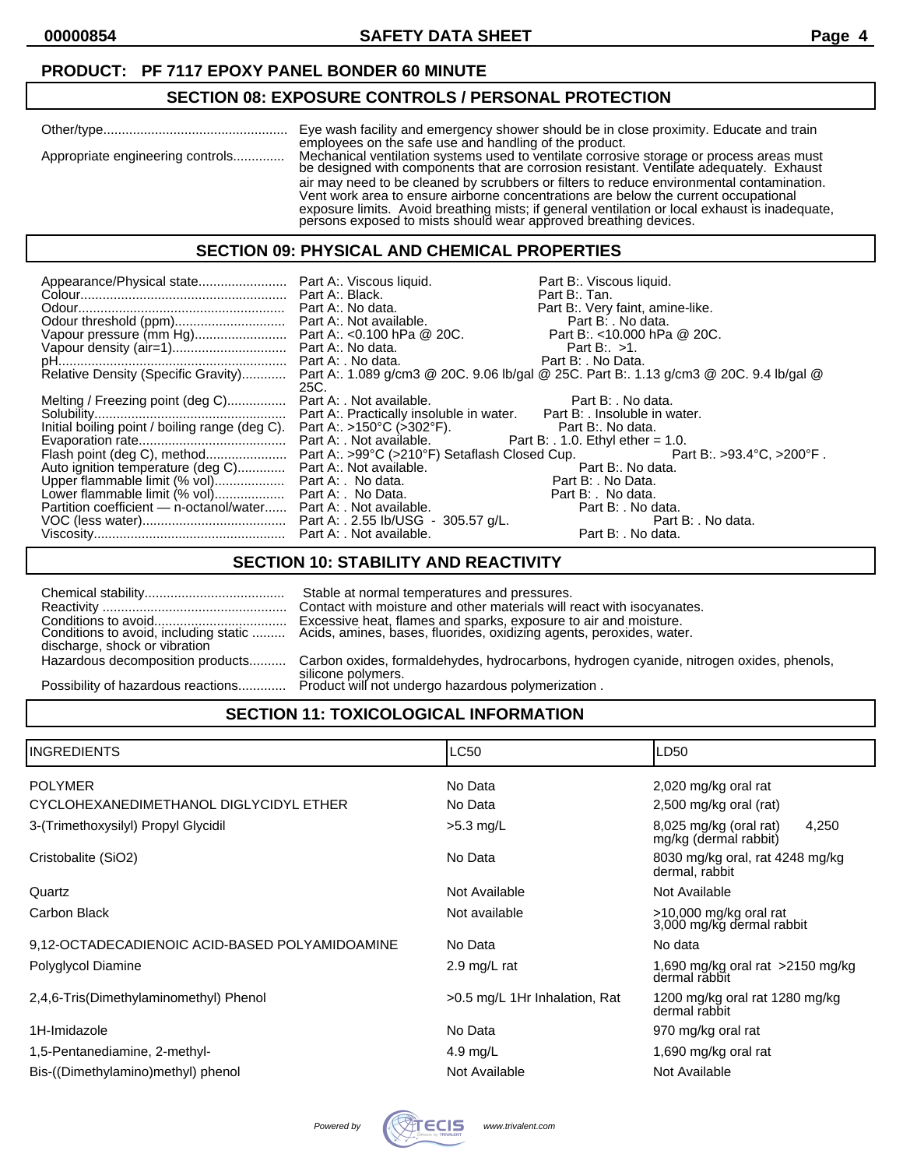## **SECTION 08: EXPOSURE CONTROLS / PERSONAL PROTECTION**

|                                  | employees on the safe use and handling of the product.                                                                                                                                                                                                                                                                                                 |
|----------------------------------|--------------------------------------------------------------------------------------------------------------------------------------------------------------------------------------------------------------------------------------------------------------------------------------------------------------------------------------------------------|
| Appropriate engineering controls | Mechanical ventilation systems used to ventilate corrosive storage or process areas must<br>be designed with components that are corrosion resistant. Ventilate adequately. Exhaust                                                                                                                                                                    |
|                                  | air may need to be cleaned by scrubbers or filters to reduce environmental contamination.<br>Vent work area to ensure airborne concentrations are below the current occupational<br>exposure limits. Avoid breathing mists; if general ventilation or local exhaust is inadequate,<br>persons exposed to mists should wear approved breathing devices. |

#### **SECTION 09: PHYSICAL AND CHEMICAL PROPERTIES**

|                                                                                              |      | Part B:. Viscous liquid.<br>Part B:. Tan.                                                                                  |
|----------------------------------------------------------------------------------------------|------|----------------------------------------------------------------------------------------------------------------------------|
|                                                                                              |      | Part B:. Very faint, amine-like.                                                                                           |
|                                                                                              |      |                                                                                                                            |
|                                                                                              |      |                                                                                                                            |
|                                                                                              |      |                                                                                                                            |
|                                                                                              |      |                                                                                                                            |
|                                                                                              |      | Relative Density (Specific Gravity) Part A:. 1.089 g/cm3 @ 20C. 9.06 lb/gal @ 25C. Part B:. 1.13 g/cm3 @ 20C. 9.4 lb/gal @ |
|                                                                                              | 25C. |                                                                                                                            |
| Melting / Freezing point (deg C) Part A: . Not available. Part B: . No data.                 |      |                                                                                                                            |
|                                                                                              |      |                                                                                                                            |
|                                                                                              |      |                                                                                                                            |
|                                                                                              |      |                                                                                                                            |
|                                                                                              |      |                                                                                                                            |
| Auto ignition temperature (deg C) Part A:. Not available. Not are not be a part B:. No data. |      |                                                                                                                            |
| Upper flammable limit (% vol) Part A: No data. Part B: . No Data.                            |      |                                                                                                                            |
|                                                                                              |      |                                                                                                                            |
| Partition coefficient - n-octanol/water Part A: . Not available.                             |      | Part B: . No data.                                                                                                         |
|                                                                                              |      | Part B: . No data.                                                                                                         |
|                                                                                              |      | Part B: . No data.                                                                                                         |

# **SECTION 10: STABILITY AND REACTIVITY**

| discharge, shock or vibration      | Stable at normal temperatures and pressures.<br>Contact with moisture and other materials will react with isocyanates. |
|------------------------------------|------------------------------------------------------------------------------------------------------------------------|
| Hazardous decomposition products   | Carbon oxides, formaldehydes, hydrocarbons, hydrogen cyanide, nitrogen oxides, phenols,                                |
| Possibility of hazardous reactions | silicone polymers.<br>Product will not undergo hazardous polymerization.                                               |

# **SECTION 11: TOXICOLOGICAL INFORMATION**

| IINGREDIENTS                                   | LC50                          | LD50                                                       |  |
|------------------------------------------------|-------------------------------|------------------------------------------------------------|--|
| <b>POLYMER</b>                                 | No Data                       | 2,020 mg/kg oral rat                                       |  |
| CYCLOHEXANEDIMETHANOL DIGLYCIDYL ETHER         | No Data                       | 2,500 mg/kg oral (rat)                                     |  |
| 3-(Trimethoxysilyl) Propyl Glycidil            | $>5.3$ mg/L                   | $8,025$ mg/kg (oral rat)<br>4,250<br>mg/kg (dermal rabbit) |  |
| Cristobalite (SiO2)                            | No Data                       | 8030 mg/kg oral, rat 4248 mg/kg<br>dermal, rabbit          |  |
| Quartz                                         | Not Available                 | Not Available                                              |  |
| Carbon Black                                   | Not available                 | >10,000 mg/kg oral rat<br>3,000 mg/kg dermal rabbit        |  |
| 9,12-OCTADECADIENOIC ACID-BASED POLYAMIDOAMINE | No Data                       | No data                                                    |  |
| Polyglycol Diamine                             | 2.9 mg/L rat                  | 1,690 mg/kg oral rat $>2150$ mg/kg<br>dermal răbbit        |  |
| 2,4,6-Tris(Dimethylaminomethyl) Phenol         | >0.5 mg/L 1Hr Inhalation, Rat | 1200 mg/kg oral rat 1280 mg/kg<br>dermal rabbit            |  |
| 1H-Imidazole                                   | No Data                       | 970 mg/kg oral rat                                         |  |
| 1,5-Pentanediamine, 2-methyl-                  | 4.9 mg/L                      | 1,690 mg/kg oral rat                                       |  |
| Bis-((Dimethylamino)methyl) phenol             | Not Available                 | Not Available                                              |  |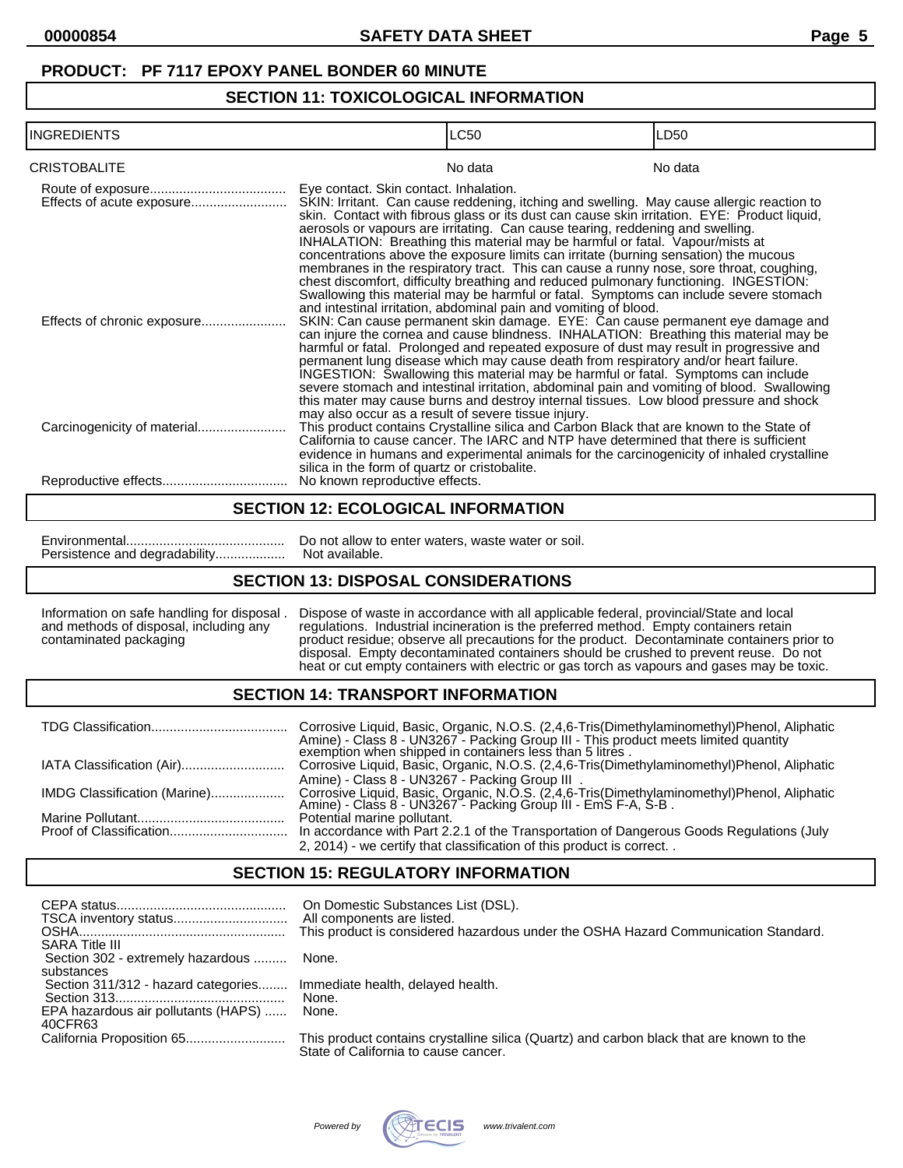# **SECTION 11: TOXICOLOGICAL INFORMATION**

| <b>INGREDIENTS</b>  | <b>LC50</b>                                                                                                                                                                                                                                                                                                                                                                                                                                                                                                                                                                                                                                                                                                                                                                                                                                   | LD <sub>50</sub> |
|---------------------|-----------------------------------------------------------------------------------------------------------------------------------------------------------------------------------------------------------------------------------------------------------------------------------------------------------------------------------------------------------------------------------------------------------------------------------------------------------------------------------------------------------------------------------------------------------------------------------------------------------------------------------------------------------------------------------------------------------------------------------------------------------------------------------------------------------------------------------------------|------------------|
| <b>CRISTOBALITE</b> | No data                                                                                                                                                                                                                                                                                                                                                                                                                                                                                                                                                                                                                                                                                                                                                                                                                                       | No data          |
|                     | Eye contact. Skin contact. Inhalation.<br>SKIN: Irritant. Can cause reddening, itching and swelling. May cause allergic reaction to<br>skin. Contact with fibrous glass or its dust can cause skin irritation. EYE: Product liquid,<br>aerosols or vapours are irritating. Can cause tearing, reddening and swelling.<br>INHALATION: Breathing this material may be harmful or fatal. Vapour/mists at<br>concentrations above the exposure limits can irritate (burning sensation) the mucous<br>membranes in the respiratory tract. This can cause a runny nose, sore throat, coughing,<br>chest discomfort, difficulty breathing and reduced pulmonary functioning. INGESTION:<br>Swallowing this material may be harmful or fatal. Symptoms can include severe stomach<br>and intestinal irritation, abdominal pain and vomiting of blood. |                  |
|                     | SKIN: Can cause permanent skin damage. EYE: Can cause permanent eye damage and<br>can injure the cornea and cause blindness. INHALATION: Breathing this material may be<br>harmful or fatal. Prolonged and repeated exposure of dust may result in progressive and<br>permanent lung disease which may cause death from respiratory and/or heart failure.<br>INGESTION: Šwallowing this material may be harmful or fatal. Symptoms can include<br>severe stomach and intestinal irritation, abdominal pain and vomiting of blood. Swallowing<br>this mater may cause burns and destroy internal tissues. Low blood pressure and shock                                                                                                                                                                                                         |                  |
|                     | may also occur as a result of severe tissue injury.<br>This product contains Crystalline silica and Carbon Black that are known to the State of<br>California to cause cancer. The IARC and NTP have determined that there is sufficient<br>evidence in humans and experimental animals for the carcinogenicity of inhaled crystalline<br>silica in the form of quartz or cristobalite.                                                                                                                                                                                                                                                                                                                                                                                                                                                       |                  |
|                     | No known reproductive effects.                                                                                                                                                                                                                                                                                                                                                                                                                                                                                                                                                                                                                                                                                                                                                                                                                |                  |

#### **SECTION 12: ECOLOGICAL INFORMATION**

Persistence and degradability...................

Environmental........................................... Do not allow to enter waters, waste water or soil.

## **SECTION 13: DISPOSAL CONSIDERATIONS**

Information on safe handling for disposal . Dispose of waste in accordance with all applicable federal, provincial/State and local and methods of disposal, including any regulations. Industrial incineration is the preferred method. Empty containers retain contaminated packaging product residue; observe all precautions for the product. Decontaminate containers prior to disposal. Empty decontaminated containers should be crushed to prevent reuse. Do not heat or cut empty containers with electric or gas torch as vapours and gases may be toxic.

## **SECTION 14: TRANSPORT INFORMATION**

|                              | Corrosive Liquid, Basic, Organic, N.O.S. (2,4,6-Tris(Dimethylaminomethyl)Phenol, Aliphatic<br>Amine) - Class 8 - UN3267 - Packing Group III - This product meets limited quantity exemption when shipped in containers less than 5 litres. |
|------------------------------|--------------------------------------------------------------------------------------------------------------------------------------------------------------------------------------------------------------------------------------------|
|                              | Corrosive Liquid, Basic, Organic, N.O.S. (2,4,6-Tris(Dimethylaminomethyl)Phenol, Aliphatic                                                                                                                                                 |
|                              | Amine) - Class 8 - UN3267 - Packing Group III.                                                                                                                                                                                             |
| IMDG Classification (Marine) | Corrosive Liquid, Basic, Organic, N.O.S. (2,4,6-Tris(Dimethylaminomethyl)Phenol, Aliphatic<br>Amine) - Class 8 - UN3267 - Packing Group III - EmS F-A, S-B .                                                                               |
|                              | Potential marine pollutant.                                                                                                                                                                                                                |
|                              | In accordance with Part 2.2.1 of the Transportation of Dangerous Goods Regulations (July                                                                                                                                                   |
|                              | 2, 2014) - we certify that classification of this product is correct                                                                                                                                                                       |

## **SECTION 15: REGULATORY INFORMATION**

| <b>SARA Title III</b>                                                                 | On Domestic Substances List (DSL).<br>This product is considered hazardous under the OSHA Hazard Communication Standard.         |
|---------------------------------------------------------------------------------------|----------------------------------------------------------------------------------------------------------------------------------|
| Section 302 - extremely hazardous  None.<br>substances                                |                                                                                                                                  |
| Section 311/312 - hazard categories<br>EPA hazardous air pollutants (HAPS)<br>40CFR63 | Immediate health, delayed health.<br>None.<br>None.                                                                              |
|                                                                                       | This product contains crystalline silica (Quartz) and carbon black that are known to the<br>State of California to cause cancer. |